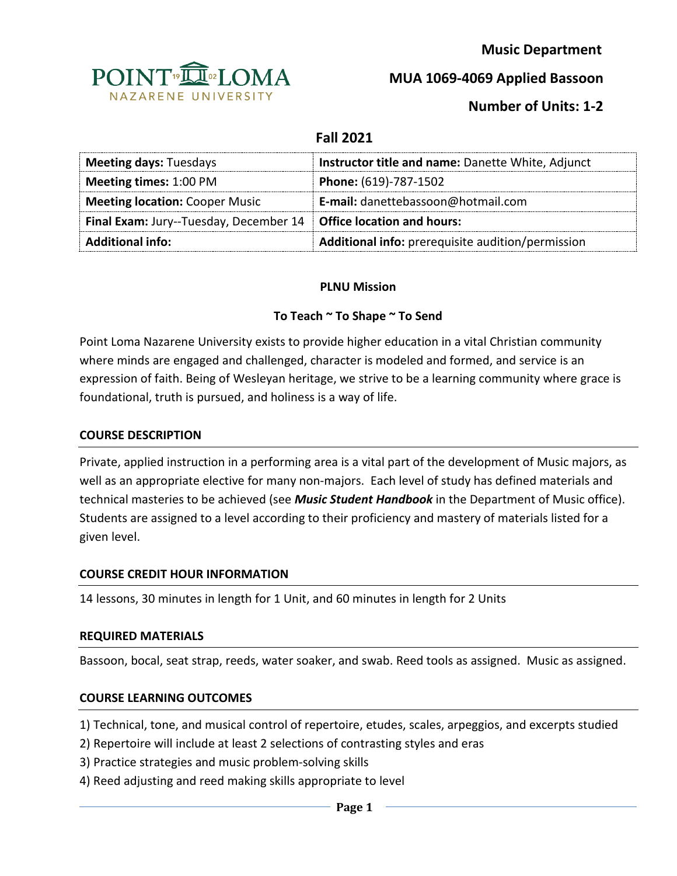

 **Music Department**

**MUA 1069-4069 Applied Bassoon**

# **Number of Units: 1-2**

## **Fall 2021**

| <b>Meeting days: Tuesdays</b>                                              | Instructor title and name: Danette White, Adjunct |
|----------------------------------------------------------------------------|---------------------------------------------------|
| <b>Meeting times: 1:00 PM</b>                                              | Phone: (619)-787-1502                             |
| <b>Meeting location: Cooper Music</b>                                      | E-mail: danettebassoon@hotmail.com                |
| <b>Final Exam:</b> Jury--Tuesday, December 14   Office location and hours: |                                                   |
| <b>Additional info:</b>                                                    | Additional info: prerequisite audition/permission |

#### **PLNU Mission**

## **To Teach ~ To Shape ~ To Send**

Point Loma Nazarene University exists to provide higher education in a vital Christian community where minds are engaged and challenged, character is modeled and formed, and service is an expression of faith. Being of Wesleyan heritage, we strive to be a learning community where grace is foundational, truth is pursued, and holiness is a way of life.

#### **COURSE DESCRIPTION**

Private, applied instruction in a performing area is a vital part of the development of Music majors, as well as an appropriate elective for many non-majors. Each level of study has defined materials and technical masteries to be achieved (see *Music Student Handbook* in the Department of Music office). Students are assigned to a level according to their proficiency and mastery of materials listed for a given level.

#### **COURSE CREDIT HOUR INFORMATION**

14 lessons, 30 minutes in length for 1 Unit, and 60 minutes in length for 2 Units

#### **REQUIRED MATERIALS**

Bassoon, bocal, seat strap, reeds, water soaker, and swab. Reed tools as assigned. Music as assigned.

#### **COURSE LEARNING OUTCOMES**

1) Technical, tone, and musical control of repertoire, etudes, scales, arpeggios, and excerpts studied

- 2) Repertoire will include at least 2 selections of contrasting styles and eras
- 3) Practice strategies and music problem-solving skills
- 4) Reed adjusting and reed making skills appropriate to level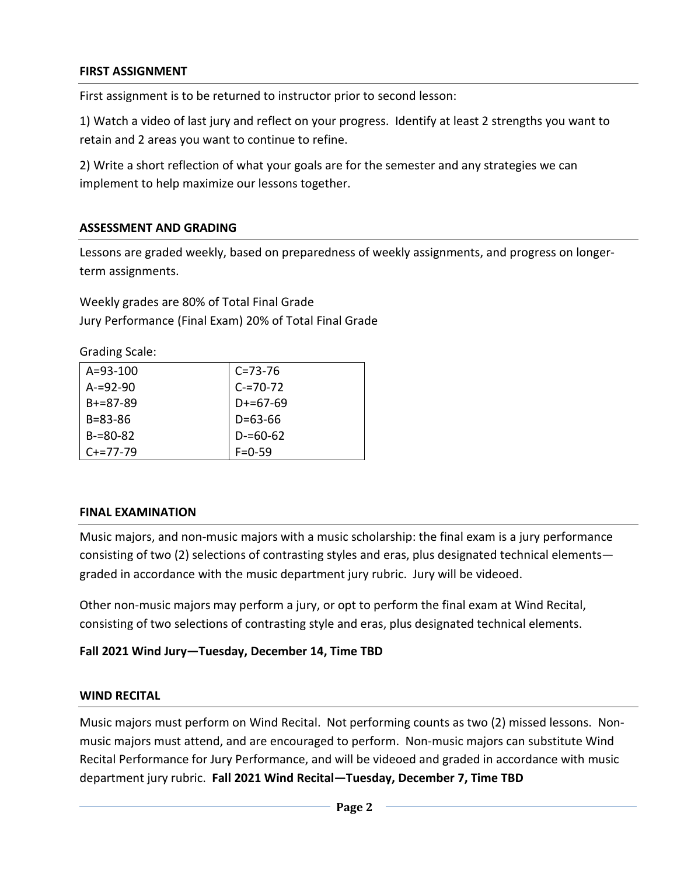### **FIRST ASSIGNMENT**

First assignment is to be returned to instructor prior to second lesson:

1) Watch a video of last jury and reflect on your progress. Identify at least 2 strengths you want to retain and 2 areas you want to continue to refine.

2) Write a short reflection of what your goals are for the semester and any strategies we can implement to help maximize our lessons together.

## **ASSESSMENT AND GRADING**

Lessons are graded weekly, based on preparedness of weekly assignments, and progress on longerterm assignments.

Weekly grades are 80% of Total Final Grade Jury Performance (Final Exam) 20% of Total Final Grade

Grading Scale:

| $A = 93 - 100$  | $C = 73 - 76$ |
|-----------------|---------------|
| $A = 92 - 90$   | $C = 70 - 72$ |
| $R + = 87 - 89$ | $D+=67-69$    |
| $B = 83 - 86$   | $D = 63 - 66$ |
| $B = 80 - 82$   | $D = 60 - 62$ |
| $C+=77-79$      | $F = 0.59$    |

#### **FINAL EXAMINATION**

Music majors, and non-music majors with a music scholarship: the final exam is a jury performance consisting of two (2) selections of contrasting styles and eras, plus designated technical elements graded in accordance with the music department jury rubric. Jury will be videoed.

Other non-music majors may perform a jury, or opt to perform the final exam at Wind Recital, consisting of two selections of contrasting style and eras, plus designated technical elements.

## **Fall 2021 Wind Jury—Tuesday, December 14, Time TBD**

#### **WIND RECITAL**

Music majors must perform on Wind Recital. Not performing counts as two (2) missed lessons. Nonmusic majors must attend, and are encouraged to perform. Non-music majors can substitute Wind Recital Performance for Jury Performance, and will be videoed and graded in accordance with music department jury rubric. **Fall 2021 Wind Recital—Tuesday, December 7, Time TBD**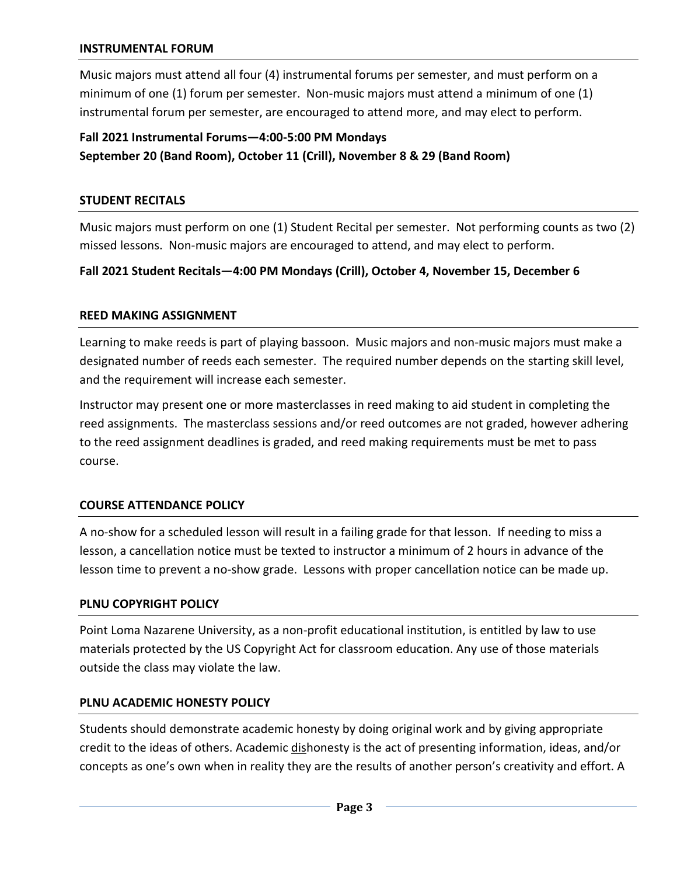Music majors must attend all four (4) instrumental forums per semester, and must perform on a minimum of one (1) forum per semester. Non-music majors must attend a minimum of one (1) instrumental forum per semester, are encouraged to attend more, and may elect to perform.

# **Fall 2021 Instrumental Forums—4:00-5:00 PM Mondays September 20 (Band Room), October 11 (Crill), November 8 & 29 (Band Room)**

#### **STUDENT RECITALS**

Music majors must perform on one (1) Student Recital per semester. Not performing counts as two (2) missed lessons. Non-music majors are encouraged to attend, and may elect to perform.

## **Fall 2021 Student Recitals—4:00 PM Mondays (Crill), October 4, November 15, December 6**

#### **REED MAKING ASSIGNMENT**

Learning to make reeds is part of playing bassoon. Music majors and non-music majors must make a designated number of reeds each semester. The required number depends on the starting skill level, and the requirement will increase each semester.

Instructor may present one or more masterclasses in reed making to aid student in completing the reed assignments. The masterclass sessions and/or reed outcomes are not graded, however adhering to the reed assignment deadlines is graded, and reed making requirements must be met to pass course.

#### **COURSE ATTENDANCE POLICY**

A no-show for a scheduled lesson will result in a failing grade for that lesson. If needing to miss a lesson, a cancellation notice must be texted to instructor a minimum of 2 hours in advance of the lesson time to prevent a no-show grade. Lessons with proper cancellation notice can be made up.

#### **PLNU COPYRIGHT POLICY**

Point Loma Nazarene University, as a non-profit educational institution, is entitled by law to use materials protected by the US Copyright Act for classroom education. Any use of those materials outside the class may violate the law.

#### **PLNU ACADEMIC HONESTY POLICY**

Students should demonstrate academic honesty by doing original work and by giving appropriate credit to the ideas of others. Academic dishonesty is the act of presenting information, ideas, and/or concepts as one's own when in reality they are the results of another person's creativity and effort. A